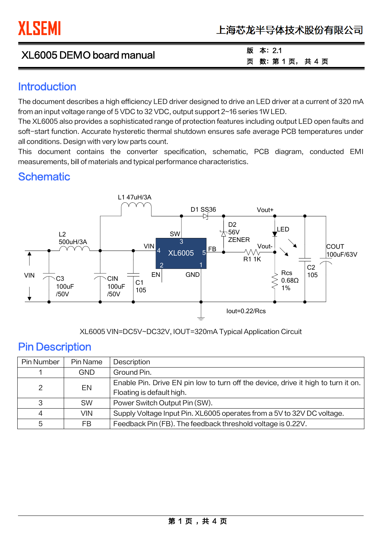| XL6005 DEMO board manual | 版<br>本: 2.1   |
|--------------------------|---------------|
|                          | 页 数: 第1页, 共4页 |

#### **Introduction**

The document describes a high efficiency LED driver designed to drive an LED driver at a current of 320 mA from an input voltage range of 5 VDC to 32 VDC, output support 2~16 series 1W LED.

The XL6005 also provides a sophisticated range of protection features including output LED open faults and soft-start function. Accurate hysteretic thermal shutdown ensures safe average PCB temperatures under all conditions. Design with very low parts count.

This document contains the converter specification, schematic, PCB diagram, conducted EMI measurements, bill of materials and typical performance characteristics.

#### **Schematic**



XL6005 VIN=DC5V~DC32V, IOUT=320mA Typical Application Circuit

#### Pin Description

֦

| Pin Number     | Pin Name   | Description                                                                       |
|----------------|------------|-----------------------------------------------------------------------------------|
|                | <b>GND</b> | Ground Pin.                                                                       |
| 2              | EN         | Enable Pin. Drive EN pin low to turn off the device, drive it high to turn it on. |
|                |            | Floating is default high.                                                         |
| 3              | <b>SW</b>  | Power Switch Output Pin (SW).                                                     |
| $\overline{A}$ | <b>VIN</b> | Supply Voltage Input Pin. XL6005 operates from a 5V to 32V DC voltage.            |
| 5              | FB         | Feedback Pin (FB). The feedback threshold voltage is 0.22V.                       |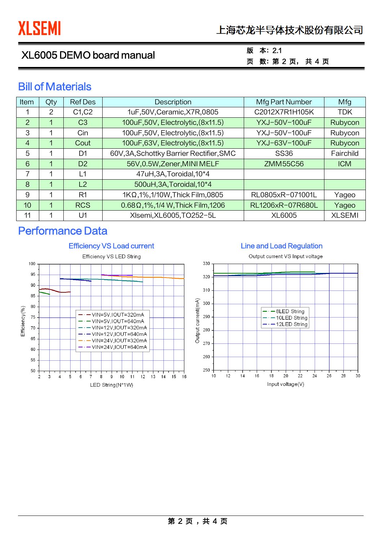| XL6005 DEMO board manual |  |
|--------------------------|--|
|--------------------------|--|

#### 版 本:2.1 页 数:第 2 页, 共 4 页

## Bill of Materials

| Item           | Qty | <b>Ref Des</b>                  | <b>Description</b>                         | Mfg Part Number  | Mfg           |
|----------------|-----|---------------------------------|--------------------------------------------|------------------|---------------|
|                | 2   | C <sub>1</sub> , C <sub>2</sub> | 1uF,50V, Ceramic, X7R, 0805                | C2012X7R1H105K   | <b>TDK</b>    |
| 2              |     | C <sub>3</sub>                  | 100uF,50V, Electrolytic, (8x11.5)          | YXJ-50V-100uF    | Rubycon       |
| 3              |     | Cin                             | 100uF,50V, Electrolytic, (8x11.5)          | YXJ-50V-100uF    | Rubycon       |
| $\overline{4}$ |     | Cout                            | 100uF,63V, Electrolytic, (8x11.5)          | YXJ-63V-100uF    | Rubycon       |
| 5              |     | D1                              | 60V, 3A, Schottky Barrier Rectifier, SMC   | <b>SS36</b>      | Fairchild     |
| 6              |     | D <sub>2</sub>                  | 56V,0.5W,Zener,MINI MELF                   | <b>ZMM55C56</b>  | <b>ICM</b>    |
| 7              |     | L1                              | 47uH, 3A, Toroidal, 10*4                   |                  |               |
| 8              | 1   | L2                              | 500uH, 3A, Toroidal, 10*4                  |                  |               |
| 9              | 1   | R <sub>1</sub>                  | $1K\Omega$ , 1%, 1/10W, Thick Film, 0805   | RL0805xR-071001L | Yageo         |
| 10             | 1   | <b>RCS</b>                      | $0.68\Omega$ , 1%, 1/4 W, Thick Film, 1206 | RL1206xR-07R680L | Yageo         |
| 11             |     | U1                              | XIsemi, XL6005, TO252-5L                   | <b>XL6005</b>    | <b>XLSEMI</b> |

## Performance Data

֦



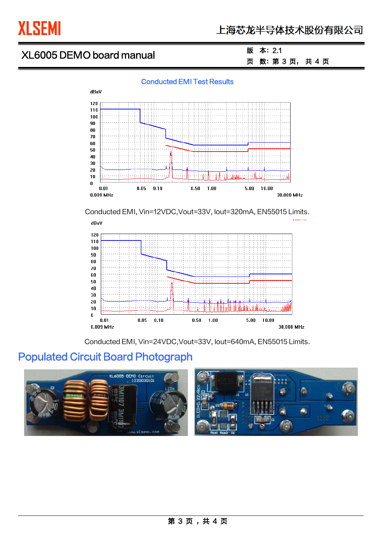

֦

# XL6005 DEMO board manual

#### 版 本:2.1 页 数:第 3 页, 共 4 页





Conducted EMI, Vin=12VDC,Vout=33V, Iout=320mA, EN55015 Limits.



Conducted EMI, Vin=24VDC,Vout=33V, Iout=640mA, EN55015 Limits.

# Populated Circuit Board Photograph